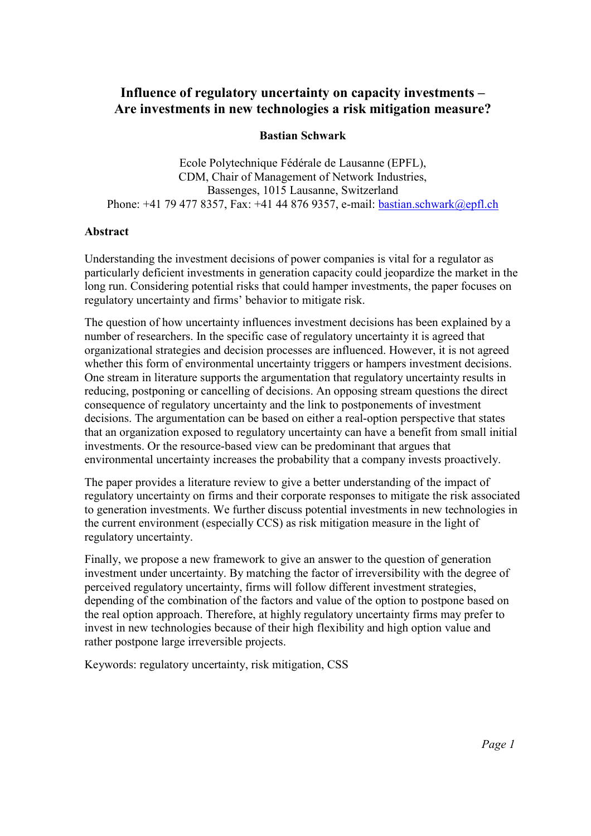# Influence of regulatory uncertainty on capacity investments – Are investments in new technologies a risk mitigation measure?

# Bastian Schwark

Ecole Polytechnique Fédérale de Lausanne (EPFL), CDM, Chair of Management of Network Industries, Bassenges, 1015 Lausanne, Switzerland Phone: +41 79 477 8357, Fax: +41 44 876 9357, e-mail: bastian.schwark@epfl.ch

#### Abstract

Understanding the investment decisions of power companies is vital for a regulator as particularly deficient investments in generation capacity could jeopardize the market in the long run. Considering potential risks that could hamper investments, the paper focuses on regulatory uncertainty and firms' behavior to mitigate risk.

The question of how uncertainty influences investment decisions has been explained by a number of researchers. In the specific case of regulatory uncertainty it is agreed that organizational strategies and decision processes are influenced. However, it is not agreed whether this form of environmental uncertainty triggers or hampers investment decisions. One stream in literature supports the argumentation that regulatory uncertainty results in reducing, postponing or cancelling of decisions. An opposing stream questions the direct consequence of regulatory uncertainty and the link to postponements of investment decisions. The argumentation can be based on either a real-option perspective that states that an organization exposed to regulatory uncertainty can have a benefit from small initial investments. Or the resource-based view can be predominant that argues that environmental uncertainty increases the probability that a company invests proactively.

The paper provides a literature review to give a better understanding of the impact of regulatory uncertainty on firms and their corporate responses to mitigate the risk associated to generation investments. We further discuss potential investments in new technologies in the current environment (especially CCS) as risk mitigation measure in the light of regulatory uncertainty.

Finally, we propose a new framework to give an answer to the question of generation investment under uncertainty. By matching the factor of irreversibility with the degree of perceived regulatory uncertainty, firms will follow different investment strategies, depending of the combination of the factors and value of the option to postpone based on the real option approach. Therefore, at highly regulatory uncertainty firms may prefer to invest in new technologies because of their high flexibility and high option value and rather postpone large irreversible projects.

Keywords: regulatory uncertainty, risk mitigation, CSS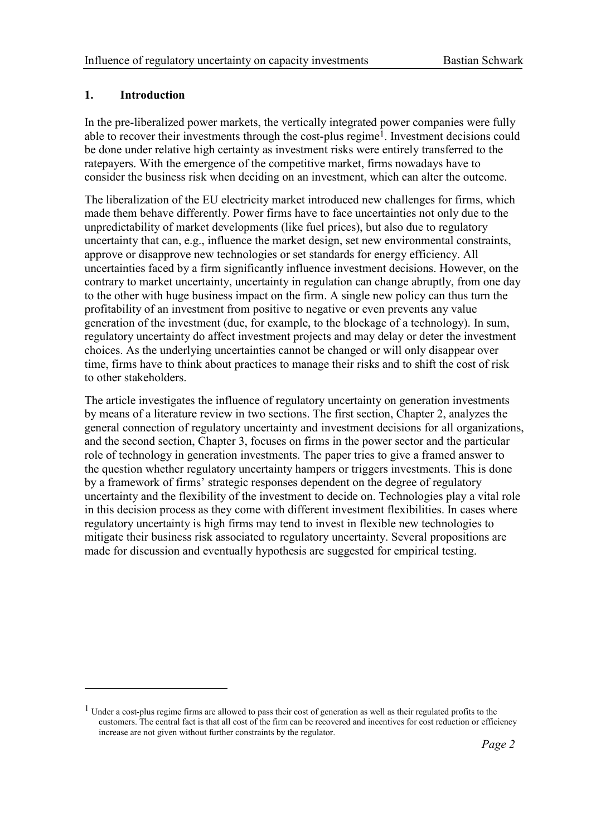#### 1. Introduction

 $\overline{a}$ 

In the pre-liberalized power markets, the vertically integrated power companies were fully able to recover their investments through the cost-plus regime<sup>1</sup>. Investment decisions could be done under relative high certainty as investment risks were entirely transferred to the ratepayers. With the emergence of the competitive market, firms nowadays have to consider the business risk when deciding on an investment, which can alter the outcome.

The liberalization of the EU electricity market introduced new challenges for firms, which made them behave differently. Power firms have to face uncertainties not only due to the unpredictability of market developments (like fuel prices), but also due to regulatory uncertainty that can, e.g., influence the market design, set new environmental constraints, approve or disapprove new technologies or set standards for energy efficiency. All uncertainties faced by a firm significantly influence investment decisions. However, on the contrary to market uncertainty, uncertainty in regulation can change abruptly, from one day to the other with huge business impact on the firm. A single new policy can thus turn the profitability of an investment from positive to negative or even prevents any value generation of the investment (due, for example, to the blockage of a technology). In sum, regulatory uncertainty do affect investment projects and may delay or deter the investment choices. As the underlying uncertainties cannot be changed or will only disappear over time, firms have to think about practices to manage their risks and to shift the cost of risk to other stakeholders.

The article investigates the influence of regulatory uncertainty on generation investments by means of a literature review in two sections. The first section, Chapter 2, analyzes the general connection of regulatory uncertainty and investment decisions for all organizations, and the second section, Chapter 3, focuses on firms in the power sector and the particular role of technology in generation investments. The paper tries to give a framed answer to the question whether regulatory uncertainty hampers or triggers investments. This is done by a framework of firms' strategic responses dependent on the degree of regulatory uncertainty and the flexibility of the investment to decide on. Technologies play a vital role in this decision process as they come with different investment flexibilities. In cases where regulatory uncertainty is high firms may tend to invest in flexible new technologies to mitigate their business risk associated to regulatory uncertainty. Several propositions are made for discussion and eventually hypothesis are suggested for empirical testing.

 $<sup>1</sup>$  Under a cost-plus regime firms are allowed to pass their cost of generation as well as their regulated profits to the</sup> customers. The central fact is that all cost of the firm can be recovered and incentives for cost reduction or efficiency increase are not given without further constraints by the regulator.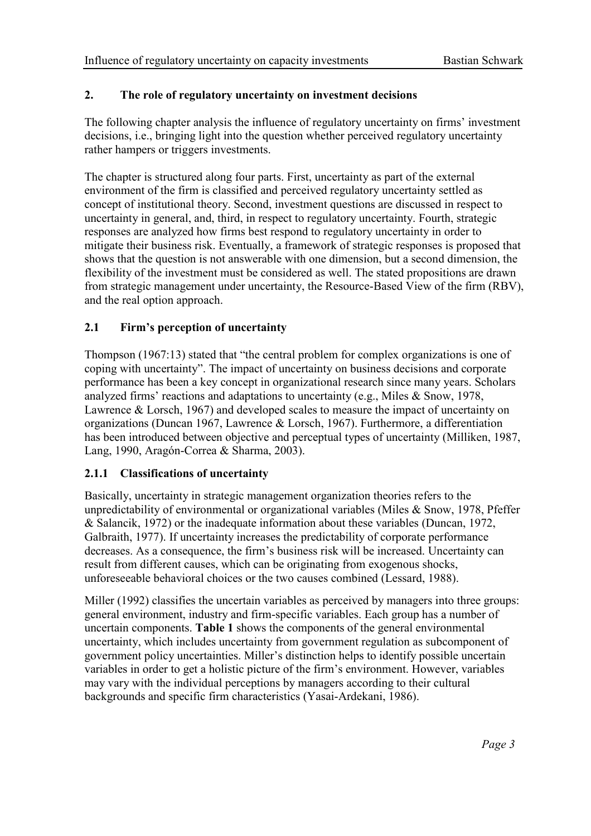# 2. The role of regulatory uncertainty on investment decisions

The following chapter analysis the influence of regulatory uncertainty on firms' investment decisions, i.e., bringing light into the question whether perceived regulatory uncertainty rather hampers or triggers investments.

The chapter is structured along four parts. First, uncertainty as part of the external environment of the firm is classified and perceived regulatory uncertainty settled as concept of institutional theory. Second, investment questions are discussed in respect to uncertainty in general, and, third, in respect to regulatory uncertainty. Fourth, strategic responses are analyzed how firms best respond to regulatory uncertainty in order to mitigate their business risk. Eventually, a framework of strategic responses is proposed that shows that the question is not answerable with one dimension, but a second dimension, the flexibility of the investment must be considered as well. The stated propositions are drawn from strategic management under uncertainty, the Resource-Based View of the firm (RBV), and the real option approach.

# 2.1 Firm's perception of uncertainty

Thompson (1967:13) stated that "the central problem for complex organizations is one of coping with uncertainty". The impact of uncertainty on business decisions and corporate performance has been a key concept in organizational research since many years. Scholars analyzed firms' reactions and adaptations to uncertainty (e.g., Miles & Snow, 1978, Lawrence & Lorsch, 1967) and developed scales to measure the impact of uncertainty on organizations (Duncan 1967, Lawrence & Lorsch, 1967). Furthermore, a differentiation has been introduced between objective and perceptual types of uncertainty (Milliken, 1987, Lang, 1990, Aragón-Correa & Sharma, 2003).

# 2.1.1 Classifications of uncertainty

Basically, uncertainty in strategic management organization theories refers to the unpredictability of environmental or organizational variables (Miles & Snow, 1978, Pfeffer & Salancik, 1972) or the inadequate information about these variables (Duncan, 1972, Galbraith, 1977). If uncertainty increases the predictability of corporate performance decreases. As a consequence, the firm's business risk will be increased. Uncertainty can result from different causes, which can be originating from exogenous shocks, unforeseeable behavioral choices or the two causes combined (Lessard, 1988).

Miller (1992) classifies the uncertain variables as perceived by managers into three groups: general environment, industry and firm-specific variables. Each group has a number of uncertain components. Table 1 shows the components of the general environmental uncertainty, which includes uncertainty from government regulation as subcomponent of government policy uncertainties. Miller's distinction helps to identify possible uncertain variables in order to get a holistic picture of the firm's environment. However, variables may vary with the individual perceptions by managers according to their cultural backgrounds and specific firm characteristics (Yasai-Ardekani, 1986).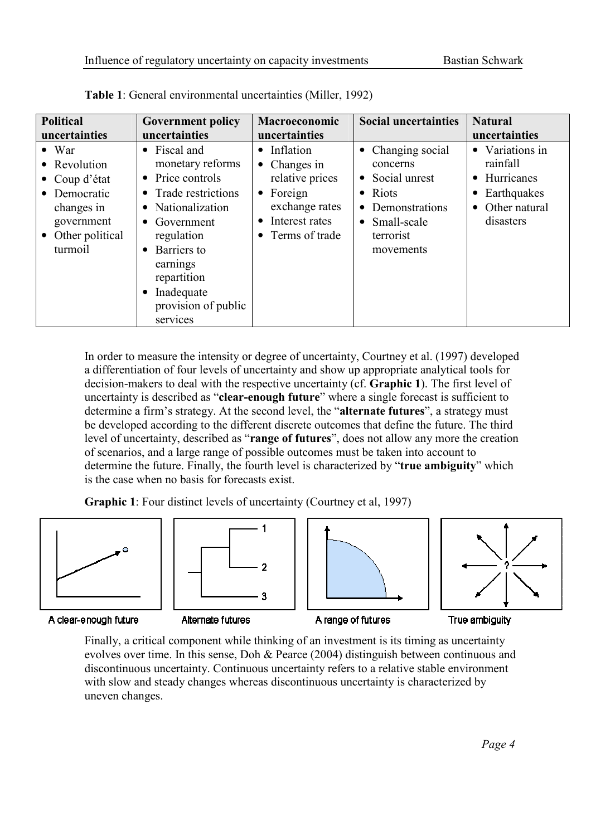| <b>Political</b>                                                                                                       | <b>Government policy</b>                                                                                                                                                                                                                        | Macroeconomic                                                                                                                                    | <b>Social uncertainties</b>                                                                                                           | <b>Natural</b>                                                                                                     |  |
|------------------------------------------------------------------------------------------------------------------------|-------------------------------------------------------------------------------------------------------------------------------------------------------------------------------------------------------------------------------------------------|--------------------------------------------------------------------------------------------------------------------------------------------------|---------------------------------------------------------------------------------------------------------------------------------------|--------------------------------------------------------------------------------------------------------------------|--|
| uncertainties                                                                                                          | uncertainties                                                                                                                                                                                                                                   | uncertainties                                                                                                                                    |                                                                                                                                       | uncertainties                                                                                                      |  |
| $\bullet$ War<br>• Revolution<br>• Coup d'état<br>Democratic<br>changes in<br>government<br>Other political<br>turmoil | • Fiscal and<br>monetary reforms<br>• Price controls<br>• Trade restrictions<br>• Nationalization<br>$\bullet$ Government<br>regulation<br>Barriers to<br>$\bullet$<br>earnings<br>repartition<br>Inadequate<br>provision of public<br>services | • Inflation<br>$\bullet$ Changes in<br>relative prices<br>$\bullet$ Foreign<br>exchange rates<br>Interest rates<br>$\bullet$<br>• Terms of trade | • Changing social<br>concerns<br>• Social unrest<br>• Riots<br>Demonstrations<br>$\bullet$<br>• Small-scale<br>terrorist<br>movements | • Variations in<br>rainfall<br>• Hurricanes<br>Earthquakes<br>$\bullet$<br>Other natural<br>$\bullet$<br>disasters |  |

Table 1: General environmental uncertainties (Miller, 1992)

In order to measure the intensity or degree of uncertainty, Courtney et al. (1997) developed a differentiation of four levels of uncertainty and show up appropriate analytical tools for decision-makers to deal with the respective uncertainty (cf. Graphic 1). The first level of uncertainty is described as "**clear-enough future**" where a single forecast is sufficient to determine a firm's strategy. At the second level, the "alternate futures", a strategy must be developed according to the different discrete outcomes that define the future. The third level of uncertainty, described as "range of futures", does not allow any more the creation of scenarios, and a large range of possible outcomes must be taken into account to determine the future. Finally, the fourth level is characterized by "true ambiguity" which is the case when no basis for forecasts exist.

Graphic 1: Four distinct levels of uncertainty (Courtney et al, 1997)









A clear-enough future

Alternate futures

A range of futures

True ambiguity

Finally, a critical component while thinking of an investment is its timing as uncertainty evolves over time. In this sense, Doh & Pearce (2004) distinguish between continuous and discontinuous uncertainty. Continuous uncertainty refers to a relative stable environment with slow and steady changes whereas discontinuous uncertainty is characterized by uneven changes.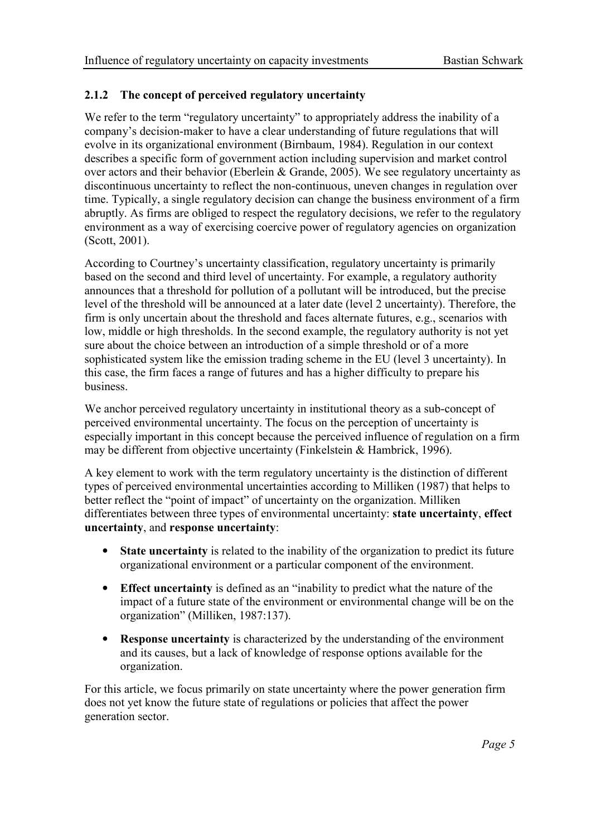# 2.1.2 The concept of perceived regulatory uncertainty

We refer to the term "regulatory uncertainty" to appropriately address the inability of a company's decision-maker to have a clear understanding of future regulations that will evolve in its organizational environment (Birnbaum, 1984). Regulation in our context describes a specific form of government action including supervision and market control over actors and their behavior (Eberlein & Grande, 2005). We see regulatory uncertainty as discontinuous uncertainty to reflect the non-continuous, uneven changes in regulation over time. Typically, a single regulatory decision can change the business environment of a firm abruptly. As firms are obliged to respect the regulatory decisions, we refer to the regulatory environment as a way of exercising coercive power of regulatory agencies on organization (Scott, 2001).

According to Courtney's uncertainty classification, regulatory uncertainty is primarily based on the second and third level of uncertainty. For example, a regulatory authority announces that a threshold for pollution of a pollutant will be introduced, but the precise level of the threshold will be announced at a later date (level 2 uncertainty). Therefore, the firm is only uncertain about the threshold and faces alternate futures, e.g., scenarios with low, middle or high thresholds. In the second example, the regulatory authority is not yet sure about the choice between an introduction of a simple threshold or of a more sophisticated system like the emission trading scheme in the EU (level 3 uncertainty). In this case, the firm faces a range of futures and has a higher difficulty to prepare his business.

We anchor perceived regulatory uncertainty in institutional theory as a sub-concept of perceived environmental uncertainty. The focus on the perception of uncertainty is especially important in this concept because the perceived influence of regulation on a firm may be different from objective uncertainty (Finkelstein & Hambrick, 1996).

A key element to work with the term regulatory uncertainty is the distinction of different types of perceived environmental uncertainties according to Milliken (1987) that helps to better reflect the "point of impact" of uncertainty on the organization. Milliken differentiates between three types of environmental uncertainty: state uncertainty, effect uncertainty, and response uncertainty:

- State uncertainty is related to the inability of the organization to predict its future organizational environment or a particular component of the environment.
- Effect uncertainty is defined as an "inability to predict what the nature of the impact of a future state of the environment or environmental change will be on the organization" (Milliken, 1987:137).
- **Response uncertainty** is characterized by the understanding of the environment and its causes, but a lack of knowledge of response options available for the organization.

For this article, we focus primarily on state uncertainty where the power generation firm does not yet know the future state of regulations or policies that affect the power generation sector.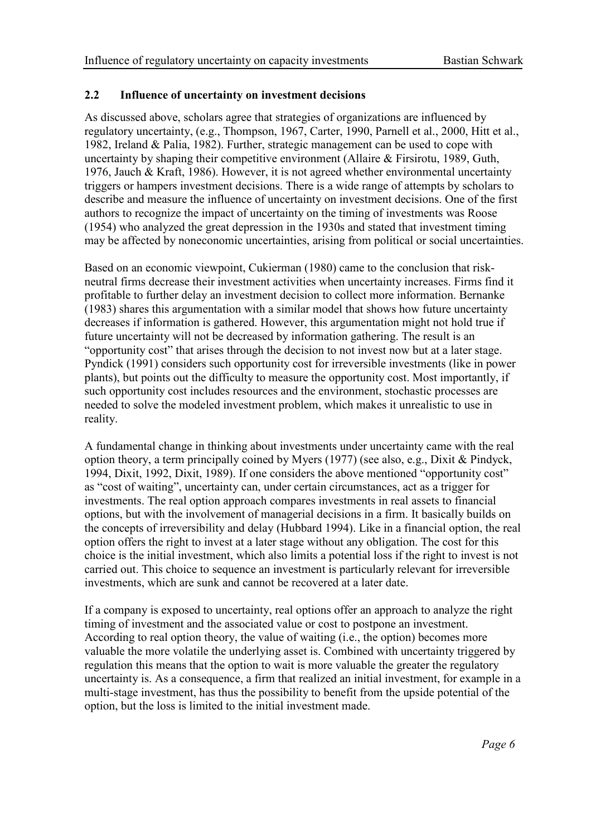#### 2.2 Influence of uncertainty on investment decisions

As discussed above, scholars agree that strategies of organizations are influenced by regulatory uncertainty, (e.g., Thompson, 1967, Carter, 1990, Parnell et al., 2000, Hitt et al., 1982, Ireland & Palia, 1982). Further, strategic management can be used to cope with uncertainty by shaping their competitive environment (Allaire & Firsirotu, 1989, Guth, 1976, Jauch & Kraft, 1986). However, it is not agreed whether environmental uncertainty triggers or hampers investment decisions. There is a wide range of attempts by scholars to describe and measure the influence of uncertainty on investment decisions. One of the first authors to recognize the impact of uncertainty on the timing of investments was Roose (1954) who analyzed the great depression in the 1930s and stated that investment timing may be affected by noneconomic uncertainties, arising from political or social uncertainties.

Based on an economic viewpoint, Cukierman (1980) came to the conclusion that riskneutral firms decrease their investment activities when uncertainty increases. Firms find it profitable to further delay an investment decision to collect more information. Bernanke (1983) shares this argumentation with a similar model that shows how future uncertainty decreases if information is gathered. However, this argumentation might not hold true if future uncertainty will not be decreased by information gathering. The result is an "opportunity cost" that arises through the decision to not invest now but at a later stage. Pyndick (1991) considers such opportunity cost for irreversible investments (like in power plants), but points out the difficulty to measure the opportunity cost. Most importantly, if such opportunity cost includes resources and the environment, stochastic processes are needed to solve the modeled investment problem, which makes it unrealistic to use in reality.

A fundamental change in thinking about investments under uncertainty came with the real option theory, a term principally coined by Myers (1977) (see also, e.g., Dixit & Pindyck, 1994, Dixit, 1992, Dixit, 1989). If one considers the above mentioned "opportunity cost" as "cost of waiting", uncertainty can, under certain circumstances, act as a trigger for investments. The real option approach compares investments in real assets to financial options, but with the involvement of managerial decisions in a firm. It basically builds on the concepts of irreversibility and delay (Hubbard 1994). Like in a financial option, the real option offers the right to invest at a later stage without any obligation. The cost for this choice is the initial investment, which also limits a potential loss if the right to invest is not carried out. This choice to sequence an investment is particularly relevant for irreversible investments, which are sunk and cannot be recovered at a later date.

If a company is exposed to uncertainty, real options offer an approach to analyze the right timing of investment and the associated value or cost to postpone an investment. According to real option theory, the value of waiting (i.e., the option) becomes more valuable the more volatile the underlying asset is. Combined with uncertainty triggered by regulation this means that the option to wait is more valuable the greater the regulatory uncertainty is. As a consequence, a firm that realized an initial investment, for example in a multi-stage investment, has thus the possibility to benefit from the upside potential of the option, but the loss is limited to the initial investment made.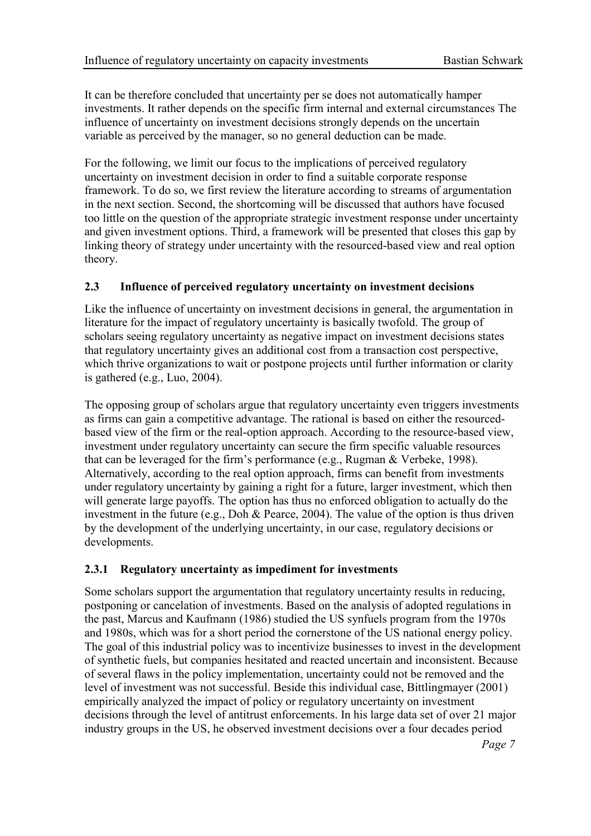It can be therefore concluded that uncertainty per se does not automatically hamper investments. It rather depends on the specific firm internal and external circumstances The influence of uncertainty on investment decisions strongly depends on the uncertain variable as perceived by the manager, so no general deduction can be made.

For the following, we limit our focus to the implications of perceived regulatory uncertainty on investment decision in order to find a suitable corporate response framework. To do so, we first review the literature according to streams of argumentation in the next section. Second, the shortcoming will be discussed that authors have focused too little on the question of the appropriate strategic investment response under uncertainty and given investment options. Third, a framework will be presented that closes this gap by linking theory of strategy under uncertainty with the resourced-based view and real option theory.

# 2.3 Influence of perceived regulatory uncertainty on investment decisions

Like the influence of uncertainty on investment decisions in general, the argumentation in literature for the impact of regulatory uncertainty is basically twofold. The group of scholars seeing regulatory uncertainty as negative impact on investment decisions states that regulatory uncertainty gives an additional cost from a transaction cost perspective, which thrive organizations to wait or postpone projects until further information or clarity is gathered (e.g., Luo, 2004).

The opposing group of scholars argue that regulatory uncertainty even triggers investments as firms can gain a competitive advantage. The rational is based on either the resourcedbased view of the firm or the real-option approach. According to the resource-based view, investment under regulatory uncertainty can secure the firm specific valuable resources that can be leveraged for the firm's performance (e.g., Rugman & Verbeke, 1998). Alternatively, according to the real option approach, firms can benefit from investments under regulatory uncertainty by gaining a right for a future, larger investment, which then will generate large payoffs. The option has thus no enforced obligation to actually do the investment in the future (e.g., Doh & Pearce, 2004). The value of the option is thus driven by the development of the underlying uncertainty, in our case, regulatory decisions or developments.

# 2.3.1 Regulatory uncertainty as impediment for investments

Some scholars support the argumentation that regulatory uncertainty results in reducing, postponing or cancelation of investments. Based on the analysis of adopted regulations in the past, Marcus and Kaufmann (1986) studied the US synfuels program from the 1970s and 1980s, which was for a short period the cornerstone of the US national energy policy. The goal of this industrial policy was to incentivize businesses to invest in the development of synthetic fuels, but companies hesitated and reacted uncertain and inconsistent. Because of several flaws in the policy implementation, uncertainty could not be removed and the level of investment was not successful. Beside this individual case, Bittlingmayer (2001) empirically analyzed the impact of policy or regulatory uncertainty on investment decisions through the level of antitrust enforcements. In his large data set of over 21 major industry groups in the US, he observed investment decisions over a four decades period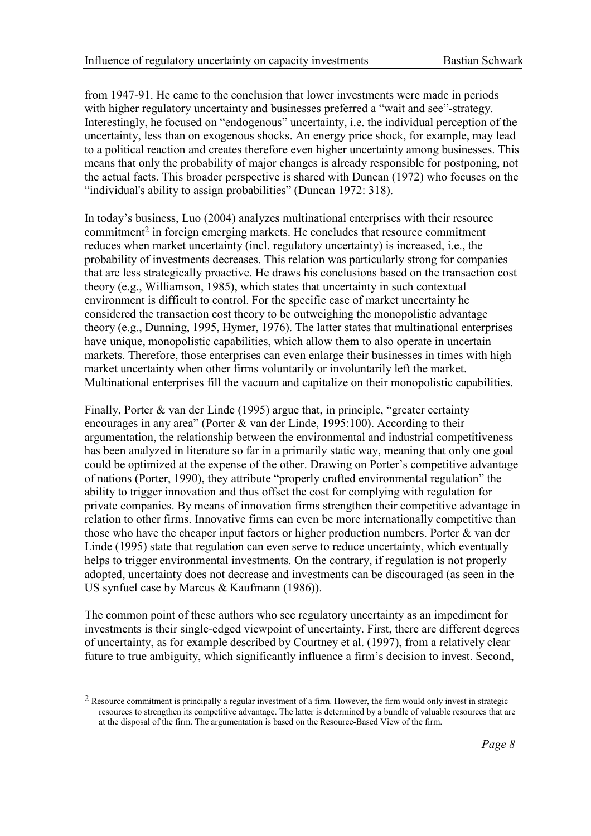from 1947-91. He came to the conclusion that lower investments were made in periods with higher regulatory uncertainty and businesses preferred a "wait and see"-strategy. Interestingly, he focused on "endogenous" uncertainty, i.e. the individual perception of the uncertainty, less than on exogenous shocks. An energy price shock, for example, may lead to a political reaction and creates therefore even higher uncertainty among businesses. This means that only the probability of major changes is already responsible for postponing, not the actual facts. This broader perspective is shared with Duncan (1972) who focuses on the "individual's ability to assign probabilities" (Duncan 1972: 318).

In today's business, Luo (2004) analyzes multinational enterprises with their resource commitment2 in foreign emerging markets. He concludes that resource commitment reduces when market uncertainty (incl. regulatory uncertainty) is increased, i.e., the probability of investments decreases. This relation was particularly strong for companies that are less strategically proactive. He draws his conclusions based on the transaction cost theory (e.g., Williamson, 1985), which states that uncertainty in such contextual environment is difficult to control. For the specific case of market uncertainty he considered the transaction cost theory to be outweighing the monopolistic advantage theory (e.g., Dunning, 1995, Hymer, 1976). The latter states that multinational enterprises have unique, monopolistic capabilities, which allow them to also operate in uncertain markets. Therefore, those enterprises can even enlarge their businesses in times with high market uncertainty when other firms voluntarily or involuntarily left the market. Multinational enterprises fill the vacuum and capitalize on their monopolistic capabilities.

Finally, Porter & van der Linde (1995) argue that, in principle, "greater certainty encourages in any area" (Porter & van der Linde, 1995:100). According to their argumentation, the relationship between the environmental and industrial competitiveness has been analyzed in literature so far in a primarily static way, meaning that only one goal could be optimized at the expense of the other. Drawing on Porter's competitive advantage of nations (Porter, 1990), they attribute "properly crafted environmental regulation" the ability to trigger innovation and thus offset the cost for complying with regulation for private companies. By means of innovation firms strengthen their competitive advantage in relation to other firms. Innovative firms can even be more internationally competitive than those who have the cheaper input factors or higher production numbers. Porter & van der Linde (1995) state that regulation can even serve to reduce uncertainty, which eventually helps to trigger environmental investments. On the contrary, if regulation is not properly adopted, uncertainty does not decrease and investments can be discouraged (as seen in the US synfuel case by Marcus & Kaufmann (1986)).

The common point of these authors who see regulatory uncertainty as an impediment for investments is their single-edged viewpoint of uncertainty. First, there are different degrees of uncertainty, as for example described by Courtney et al. (1997), from a relatively clear future to true ambiguity, which significantly influence a firm's decision to invest. Second,

 $\overline{a}$ 

<sup>2</sup> Resource commitment is principally a regular investment of a firm. However, the firm would only invest in strategic resources to strengthen its competitive advantage. The latter is determined by a bundle of valuable resources that are at the disposal of the firm. The argumentation is based on the Resource-Based View of the firm.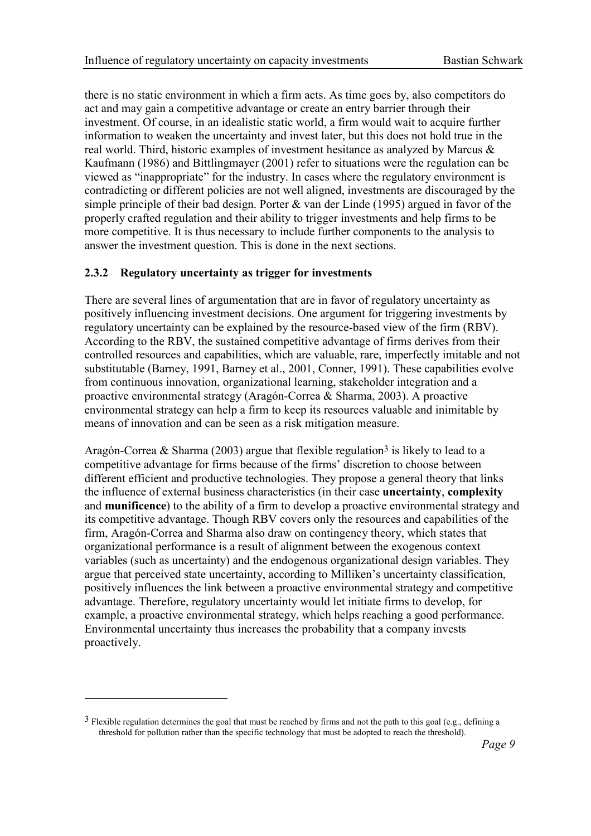there is no static environment in which a firm acts. As time goes by, also competitors do act and may gain a competitive advantage or create an entry barrier through their investment. Of course, in an idealistic static world, a firm would wait to acquire further information to weaken the uncertainty and invest later, but this does not hold true in the real world. Third, historic examples of investment hesitance as analyzed by Marcus & Kaufmann (1986) and Bittlingmayer (2001) refer to situations were the regulation can be viewed as "inappropriate" for the industry. In cases where the regulatory environment is contradicting or different policies are not well aligned, investments are discouraged by the simple principle of their bad design. Porter & van der Linde (1995) argued in favor of the properly crafted regulation and their ability to trigger investments and help firms to be more competitive. It is thus necessary to include further components to the analysis to answer the investment question. This is done in the next sections.

# 2.3.2 Regulatory uncertainty as trigger for investments

There are several lines of argumentation that are in favor of regulatory uncertainty as positively influencing investment decisions. One argument for triggering investments by regulatory uncertainty can be explained by the resource-based view of the firm (RBV). According to the RBV, the sustained competitive advantage of firms derives from their controlled resources and capabilities, which are valuable, rare, imperfectly imitable and not substitutable (Barney, 1991, Barney et al., 2001, Conner, 1991). These capabilities evolve from continuous innovation, organizational learning, stakeholder integration and a proactive environmental strategy (Aragón-Correa & Sharma, 2003). A proactive environmental strategy can help a firm to keep its resources valuable and inimitable by means of innovation and can be seen as a risk mitigation measure.

Aragón-Correa & Sharma (2003) argue that flexible regulation<sup>3</sup> is likely to lead to a competitive advantage for firms because of the firms' discretion to choose between different efficient and productive technologies. They propose a general theory that links the influence of external business characteristics (in their case uncertainty, complexity and munificence) to the ability of a firm to develop a proactive environmental strategy and its competitive advantage. Though RBV covers only the resources and capabilities of the firm, Aragón-Correa and Sharma also draw on contingency theory, which states that organizational performance is a result of alignment between the exogenous context variables (such as uncertainty) and the endogenous organizational design variables. They argue that perceived state uncertainty, according to Milliken's uncertainty classification, positively influences the link between a proactive environmental strategy and competitive advantage. Therefore, regulatory uncertainty would let initiate firms to develop, for example, a proactive environmental strategy, which helps reaching a good performance. Environmental uncertainty thus increases the probability that a company invests proactively.

 $\overline{a}$ 

<sup>&</sup>lt;sup>3</sup> Flexible regulation determines the goal that must be reached by firms and not the path to this goal (e.g., defining a threshold for pollution rather than the specific technology that must be adopted to reach the threshold).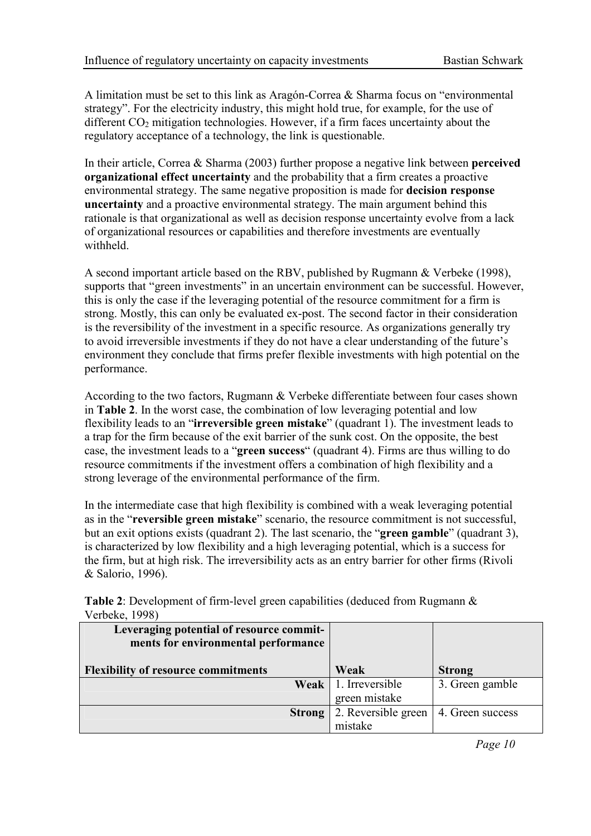A limitation must be set to this link as Aragón-Correa  $\&$  Sharma focus on "environmental" strategy". For the electricity industry, this might hold true, for example, for the use of different  $CO<sub>2</sub>$  mitigation technologies. However, if a firm faces uncertainty about the regulatory acceptance of a technology, the link is questionable.

In their article, Correa & Sharma (2003) further propose a negative link between **perceived** organizational effect uncertainty and the probability that a firm creates a proactive environmental strategy. The same negative proposition is made for decision response uncertainty and a proactive environmental strategy. The main argument behind this rationale is that organizational as well as decision response uncertainty evolve from a lack of organizational resources or capabilities and therefore investments are eventually withheld.

A second important article based on the RBV, published by Rugmann & Verbeke (1998), supports that "green investments" in an uncertain environment can be successful. However, this is only the case if the leveraging potential of the resource commitment for a firm is strong. Mostly, this can only be evaluated ex-post. The second factor in their consideration is the reversibility of the investment in a specific resource. As organizations generally try to avoid irreversible investments if they do not have a clear understanding of the future's environment they conclude that firms prefer flexible investments with high potential on the performance.

According to the two factors, Rugmann & Verbeke differentiate between four cases shown in Table 2. In the worst case, the combination of low leveraging potential and low flexibility leads to an "irreversible green mistake" (quadrant 1). The investment leads to a trap for the firm because of the exit barrier of the sunk cost. On the opposite, the best case, the investment leads to a "green success" (quadrant 4). Firms are thus willing to do resource commitments if the investment offers a combination of high flexibility and a strong leverage of the environmental performance of the firm.

In the intermediate case that high flexibility is combined with a weak leveraging potential as in the "reversible green mistake" scenario, the resource commitment is not successful. but an exit options exists (quadrant 2). The last scenario, the "green gamble" (quadrant 3), is characterized by low flexibility and a high leveraging potential, which is a success for the firm, but at high risk. The irreversibility acts as an entry barrier for other firms (Rivoli & Salorio, 1996).

Table 2: Development of firm-level green capabilities (deduced from Rugmann & Verbeke, 1998)

| Leveraging potential of resource commit-<br>ments for environmental performance |                        |                  |
|---------------------------------------------------------------------------------|------------------------|------------------|
| <b>Flexibility of resource commitments</b>                                      | Weak                   | <b>Strong</b>    |
|                                                                                 | Weak   1. Irreversible | 3. Green gamble  |
|                                                                                 | green mistake          |                  |
| <b>Strong</b>                                                                   | 2. Reversible green    | 4. Green success |
|                                                                                 | mistake                |                  |

Page 10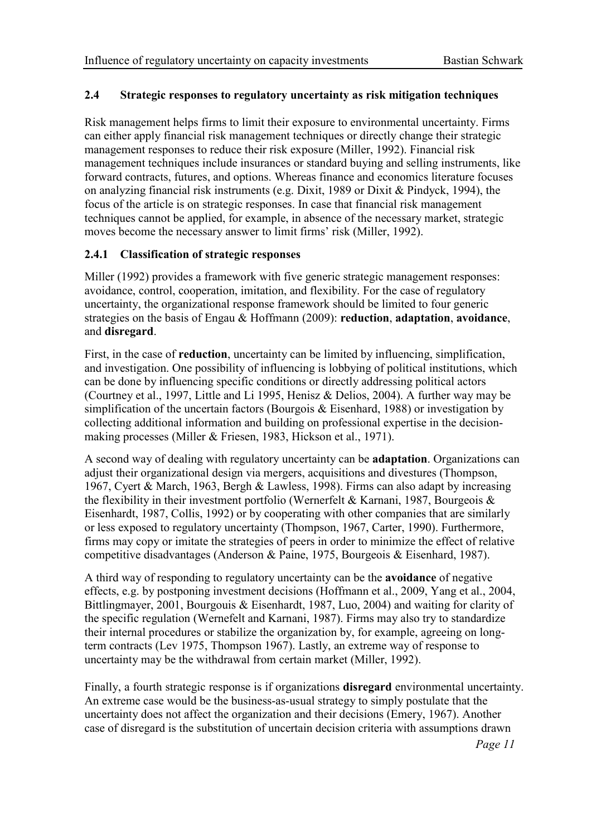#### 2.4 Strategic responses to regulatory uncertainty as risk mitigation techniques

Risk management helps firms to limit their exposure to environmental uncertainty. Firms can either apply financial risk management techniques or directly change their strategic management responses to reduce their risk exposure (Miller, 1992). Financial risk management techniques include insurances or standard buying and selling instruments, like forward contracts, futures, and options. Whereas finance and economics literature focuses on analyzing financial risk instruments (e.g. Dixit, 1989 or Dixit & Pindyck, 1994), the focus of the article is on strategic responses. In case that financial risk management techniques cannot be applied, for example, in absence of the necessary market, strategic moves become the necessary answer to limit firms' risk (Miller, 1992).

# 2.4.1 Classification of strategic responses

Miller (1992) provides a framework with five generic strategic management responses: avoidance, control, cooperation, imitation, and flexibility. For the case of regulatory uncertainty, the organizational response framework should be limited to four generic strategies on the basis of Engau & Hoffmann (2009): reduction, adaptation, avoidance, and disregard.

First, in the case of **reduction**, uncertainty can be limited by influencing, simplification, and investigation. One possibility of influencing is lobbying of political institutions, which can be done by influencing specific conditions or directly addressing political actors (Courtney et al., 1997, Little and Li 1995, Henisz & Delios, 2004). A further way may be simplification of the uncertain factors (Bourgois & Eisenhard, 1988) or investigation by collecting additional information and building on professional expertise in the decisionmaking processes (Miller & Friesen, 1983, Hickson et al., 1971).

A second way of dealing with regulatory uncertainty can be adaptation. Organizations can adjust their organizational design via mergers, acquisitions and divestures (Thompson, 1967, Cyert & March, 1963, Bergh & Lawless, 1998). Firms can also adapt by increasing the flexibility in their investment portfolio (Wernerfelt & Karnani, 1987, Bourgeois  $\&$ Eisenhardt, 1987, Collis, 1992) or by cooperating with other companies that are similarly or less exposed to regulatory uncertainty (Thompson, 1967, Carter, 1990). Furthermore, firms may copy or imitate the strategies of peers in order to minimize the effect of relative competitive disadvantages (Anderson & Paine, 1975, Bourgeois & Eisenhard, 1987).

A third way of responding to regulatory uncertainty can be the avoidance of negative effects, e.g. by postponing investment decisions (Hoffmann et al., 2009, Yang et al., 2004, Bittlingmayer, 2001, Bourgouis & Eisenhardt, 1987, Luo, 2004) and waiting for clarity of the specific regulation (Wernefelt and Karnani, 1987). Firms may also try to standardize their internal procedures or stabilize the organization by, for example, agreeing on longterm contracts (Lev 1975, Thompson 1967). Lastly, an extreme way of response to uncertainty may be the withdrawal from certain market (Miller, 1992).

Finally, a fourth strategic response is if organizations **disregard** environmental uncertainty. An extreme case would be the business-as-usual strategy to simply postulate that the uncertainty does not affect the organization and their decisions (Emery, 1967). Another case of disregard is the substitution of uncertain decision criteria with assumptions drawn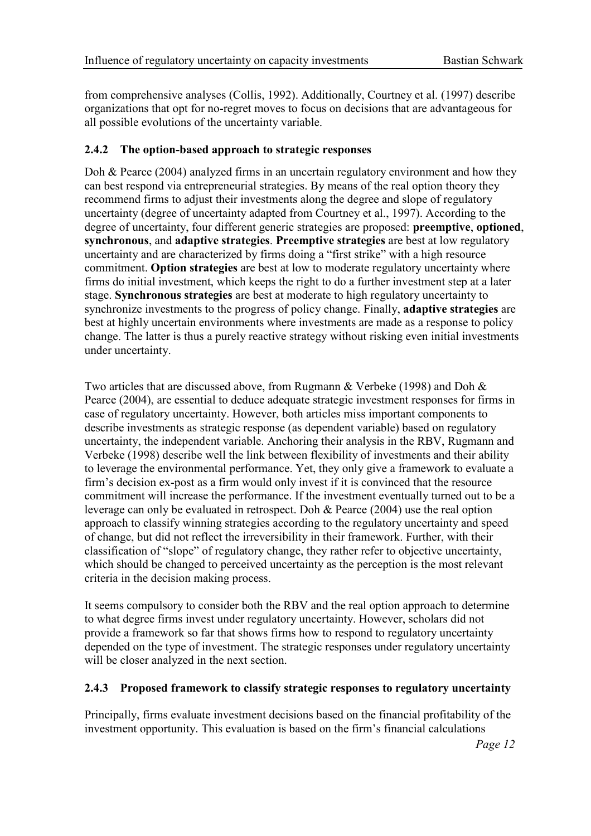from comprehensive analyses (Collis, 1992). Additionally, Courtney et al. (1997) describe organizations that opt for no-regret moves to focus on decisions that are advantageous for all possible evolutions of the uncertainty variable.

# 2.4.2 The option-based approach to strategic responses

Doh & Pearce (2004) analyzed firms in an uncertain regulatory environment and how they can best respond via entrepreneurial strategies. By means of the real option theory they recommend firms to adjust their investments along the degree and slope of regulatory uncertainty (degree of uncertainty adapted from Courtney et al., 1997). According to the degree of uncertainty, four different generic strategies are proposed: preemptive, optioned, synchronous, and adaptive strategies. Preemptive strategies are best at low regulatory uncertainty and are characterized by firms doing a "first strike" with a high resource commitment. Option strategies are best at low to moderate regulatory uncertainty where firms do initial investment, which keeps the right to do a further investment step at a later stage. Synchronous strategies are best at moderate to high regulatory uncertainty to synchronize investments to the progress of policy change. Finally, **adaptive strategies** are best at highly uncertain environments where investments are made as a response to policy change. The latter is thus a purely reactive strategy without risking even initial investments under uncertainty.

Two articles that are discussed above, from Rugmann & Verbeke (1998) and Doh & Pearce (2004), are essential to deduce adequate strategic investment responses for firms in case of regulatory uncertainty. However, both articles miss important components to describe investments as strategic response (as dependent variable) based on regulatory uncertainty, the independent variable. Anchoring their analysis in the RBV, Rugmann and Verbeke (1998) describe well the link between flexibility of investments and their ability to leverage the environmental performance. Yet, they only give a framework to evaluate a firm's decision ex-post as a firm would only invest if it is convinced that the resource commitment will increase the performance. If the investment eventually turned out to be a leverage can only be evaluated in retrospect. Doh & Pearce (2004) use the real option approach to classify winning strategies according to the regulatory uncertainty and speed of change, but did not reflect the irreversibility in their framework. Further, with their classification of "slope" of regulatory change, they rather refer to objective uncertainty, which should be changed to perceived uncertainty as the perception is the most relevant criteria in the decision making process.

It seems compulsory to consider both the RBV and the real option approach to determine to what degree firms invest under regulatory uncertainty. However, scholars did not provide a framework so far that shows firms how to respond to regulatory uncertainty depended on the type of investment. The strategic responses under regulatory uncertainty will be closer analyzed in the next section.

# 2.4.3 Proposed framework to classify strategic responses to regulatory uncertainty

Principally, firms evaluate investment decisions based on the financial profitability of the investment opportunity. This evaluation is based on the firm's financial calculations

Page 12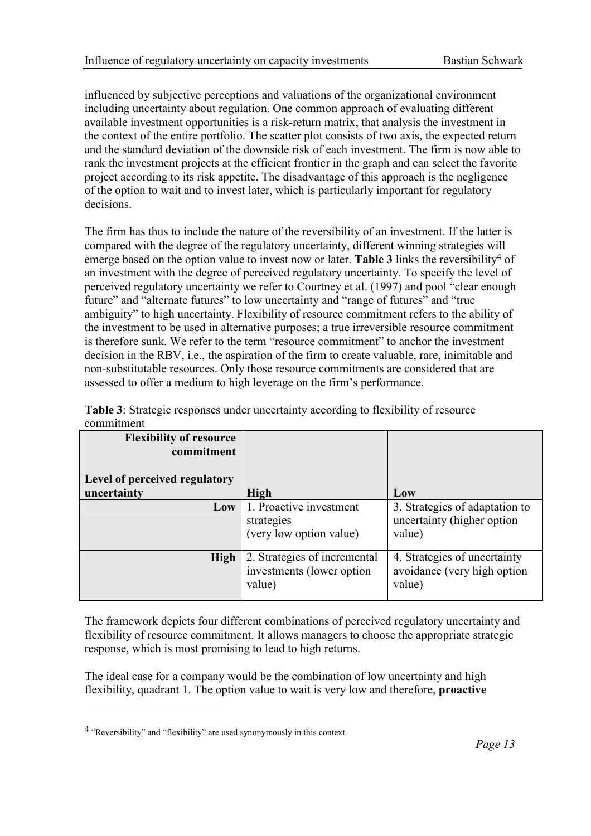influenced by subjective perceptions and valuations of the organizational environment including uncertainty about regulation. One common approach of evaluating different available investment opportunities is a risk-return matrix, that analysis the investment in the context of the entire portfolio. The scatter plot consists of two axis, the expected return and the standard deviation of the downside risk of each investment. The firm is now able to rank the investment projects at the efficient frontier in the graph and can select the favorite project according to its risk appetite. The disadvantage of this approach is the negligence of the option to wait and to invest later, which is particularly important for regulatory decisions.

The firm has thus to include the nature of the reversibility of an investment. If the latter is compared with the degree of the regulatory uncertainty, different winning strategies will emerge based on the option value to invest now or later. Table 3 links the reversibility<sup>4</sup> of an investment with the degree of perceived regulatory uncertainty. To specify the level of perceived regulatory uncertainty we refer to Courtney et al. (1997) and pool "clear enough future" and "alternate futures" to low uncertainty and "range of futures" and "true ambiguity" to high uncertainty. Flexibility of resource commitment refers to the ability of the investment to be used in alternative purposes; a true irreversible resource commitment is therefore sunk. We refer to the term "resource commitment" to anchor the investment decision in the RBV, i.e., the aspiration of the firm to create valuable, rare, inimitable and non-substitutable resources. Only those resource commitments are considered that are assessed to offer a medium to high leverage on the firm's performance.

| <b>Flexibility of resource</b><br>commitment<br>Level of perceived regulatory |                                                                     |                                                                        |
|-------------------------------------------------------------------------------|---------------------------------------------------------------------|------------------------------------------------------------------------|
| uncertainty                                                                   | <b>High</b>                                                         | Low                                                                    |
| Low                                                                           | 1. Proactive investment<br>strategies<br>(very low option value)    | 3. Strategies of adaptation to<br>uncertainty (higher option<br>value) |
| High                                                                          | 2. Strategies of incremental<br>investments (lower option<br>value) | 4. Strategies of uncertainty<br>avoidance (very high option<br>value)  |

Table 3: Strategic responses under uncertainty according to flexibility of resource commitment

The framework depicts four different combinations of perceived regulatory uncertainty and flexibility of resource commitment. It allows managers to choose the appropriate strategic response, which is most promising to lead to high returns.

The ideal case for a company would be the combination of low uncertainty and high flexibility, quadrant 1. The option value to wait is very low and therefore, proactive

 $\overline{a}$ 

<sup>4 &</sup>quot;Reversibility" and "flexibility" are used synonymously in this context.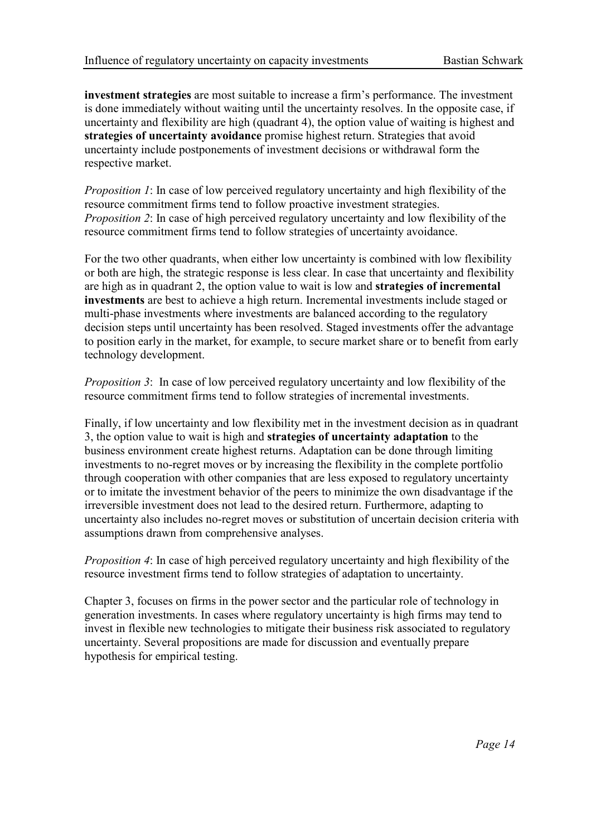investment strategies are most suitable to increase a firm's performance. The investment is done immediately without waiting until the uncertainty resolves. In the opposite case, if uncertainty and flexibility are high (quadrant 4), the option value of waiting is highest and strategies of uncertainty avoidance promise highest return. Strategies that avoid uncertainty include postponements of investment decisions or withdrawal form the respective market.

Proposition 1: In case of low perceived regulatory uncertainty and high flexibility of the resource commitment firms tend to follow proactive investment strategies. Proposition 2: In case of high perceived regulatory uncertainty and low flexibility of the resource commitment firms tend to follow strategies of uncertainty avoidance.

For the two other quadrants, when either low uncertainty is combined with low flexibility or both are high, the strategic response is less clear. In case that uncertainty and flexibility are high as in quadrant 2, the option value to wait is low and strategies of incremental investments are best to achieve a high return. Incremental investments include staged or multi-phase investments where investments are balanced according to the regulatory decision steps until uncertainty has been resolved. Staged investments offer the advantage to position early in the market, for example, to secure market share or to benefit from early technology development.

Proposition 3: In case of low perceived regulatory uncertainty and low flexibility of the resource commitment firms tend to follow strategies of incremental investments.

Finally, if low uncertainty and low flexibility met in the investment decision as in quadrant 3, the option value to wait is high and strategies of uncertainty adaptation to the business environment create highest returns. Adaptation can be done through limiting investments to no-regret moves or by increasing the flexibility in the complete portfolio through cooperation with other companies that are less exposed to regulatory uncertainty or to imitate the investment behavior of the peers to minimize the own disadvantage if the irreversible investment does not lead to the desired return. Furthermore, adapting to uncertainty also includes no-regret moves or substitution of uncertain decision criteria with assumptions drawn from comprehensive analyses.

Proposition 4: In case of high perceived regulatory uncertainty and high flexibility of the resource investment firms tend to follow strategies of adaptation to uncertainty.

Chapter 3, focuses on firms in the power sector and the particular role of technology in generation investments. In cases where regulatory uncertainty is high firms may tend to invest in flexible new technologies to mitigate their business risk associated to regulatory uncertainty. Several propositions are made for discussion and eventually prepare hypothesis for empirical testing.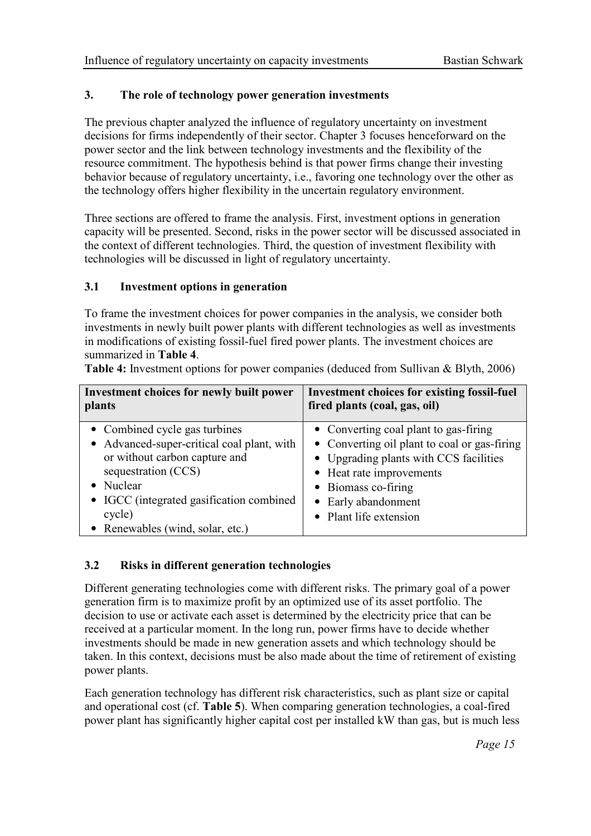# 3. The role of technology power generation investments

The previous chapter analyzed the influence of regulatory uncertainty on investment decisions for firms independently of their sector. Chapter 3 focuses henceforward on the power sector and the link between technology investments and the flexibility of the resource commitment. The hypothesis behind is that power firms change their investing behavior because of regulatory uncertainty, i.e., favoring one technology over the other as the technology offers higher flexibility in the uncertain regulatory environment.

Three sections are offered to frame the analysis. First, investment options in generation capacity will be presented. Second, risks in the power sector will be discussed associated in the context of different technologies. Third, the question of investment flexibility with technologies will be discussed in light of regulatory uncertainty.

# 3.1 Investment options in generation

To frame the investment choices for power companies in the analysis, we consider both investments in newly built power plants with different technologies as well as investments in modifications of existing fossil-fuel fired power plants. The investment choices are summarized in Table 4.

| Investment choices for newly built power<br>plants | <b>Investment choices for existing fossil-fuel</b><br>fired plants (coal, gas, oil) |
|----------------------------------------------------|-------------------------------------------------------------------------------------|
| • Combined cycle gas turbines                      | • Converting coal plant to gas-firing                                               |
| • Advanced-super-critical coal plant, with         | • Converting oil plant to coal or gas-firing                                        |
| or without carbon capture and                      | • Upgrading plants with CCS facilities                                              |
| sequestration (CCS)                                | • Heat rate improvements                                                            |
| • Nuclear                                          | • Biomass co-firing                                                                 |
| • IGCC (integrated gasification combined           | • Early abandonment                                                                 |
| cycle)                                             | • Plant life extension                                                              |
| • Renewables (wind, solar, etc.)                   |                                                                                     |

Table 4: Investment options for power companies (deduced from Sullivan & Blyth, 2006)

# 3.2 Risks in different generation technologies

Different generating technologies come with different risks. The primary goal of a power generation firm is to maximize profit by an optimized use of its asset portfolio. The decision to use or activate each asset is determined by the electricity price that can be received at a particular moment. In the long run, power firms have to decide whether investments should be made in new generation assets and which technology should be taken. In this context, decisions must be also made about the time of retirement of existing power plants.

Each generation technology has different risk characteristics, such as plant size or capital and operational cost (cf. Table 5). When comparing generation technologies, a coal-fired power plant has significantly higher capital cost per installed kW than gas, but is much less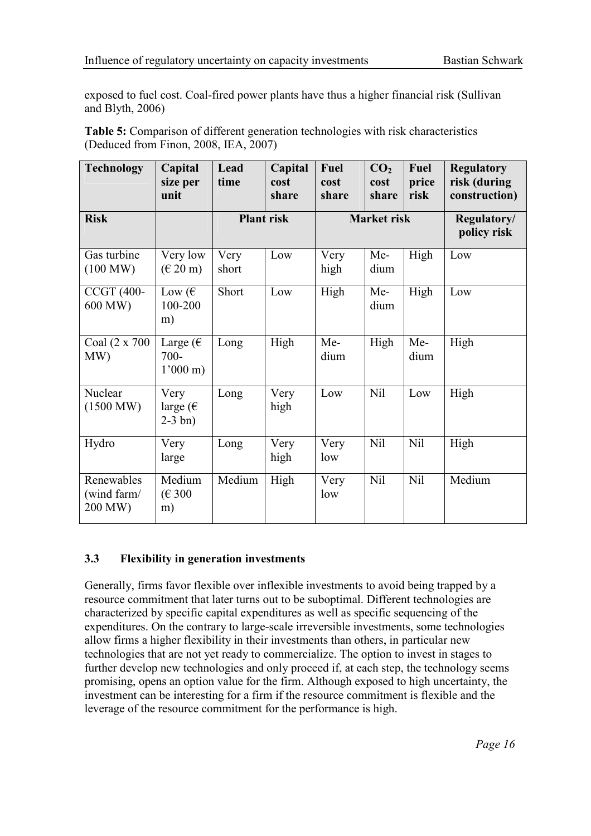exposed to fuel cost. Coal-fired power plants have thus a higher financial risk (Sullivan and Blyth, 2006)

Table 5: Comparison of different generation technologies with risk characteristics (Deduced from Finon, 2008, IEA, 2007)

| <b>Technology</b>                    | Capital<br>size per<br>unit                        | Lead<br>time      | Capital<br>cost<br>share | Fuel<br>cost<br>share | CO <sub>2</sub><br>cost<br>share | Fuel<br>price<br>risk | <b>Regulatory</b><br>risk (during<br>construction) |
|--------------------------------------|----------------------------------------------------|-------------------|--------------------------|-----------------------|----------------------------------|-----------------------|----------------------------------------------------|
| <b>Risk</b>                          |                                                    | <b>Plant</b> risk |                          | <b>Market risk</b>    |                                  |                       | Regulatory/<br>policy risk                         |
| Gas turbine<br>(100 MW)              | Very low<br>$(\text{€ }20 \text{ m})$              | Very<br>short     | Low                      | Very<br>high          | Me-<br>dium                      | High                  | Low                                                |
| <b>CCGT (400-</b><br>600 MW)         | Low $(\epsilon$<br>100-200<br>m)                   | Short             | Low                      | High                  | Me-<br>dium                      | High                  | Low                                                |
| Coal (2 x 700<br>MW)                 | Large ( $\epsilon$<br>$700 -$<br>$1'000 \text{ m}$ | Long              | High                     | Me-<br>dium           | High                             | Me-<br>dium           | High                                               |
| Nuclear<br>$(1500 \text{ MW})$       | Very<br>large ( $\epsilon$<br>$2-3$ bn)            | Long              | Very<br>high             | Low                   | Nil                              | Low                   | High                                               |
| Hydro                                | Very<br>large                                      | Long              | Very<br>high             | Very<br>low           | Nil                              | Nil                   | High                                               |
| Renewables<br>(wind farm/<br>200 MW) | Medium<br>(E 300)<br>m)                            | Medium            | High                     | Very<br>low           | Nil                              | Nil                   | Medium                                             |

# 3.3 Flexibility in generation investments

Generally, firms favor flexible over inflexible investments to avoid being trapped by a resource commitment that later turns out to be suboptimal. Different technologies are characterized by specific capital expenditures as well as specific sequencing of the expenditures. On the contrary to large-scale irreversible investments, some technologies allow firms a higher flexibility in their investments than others, in particular new technologies that are not yet ready to commercialize. The option to invest in stages to further develop new technologies and only proceed if, at each step, the technology seems promising, opens an option value for the firm. Although exposed to high uncertainty, the investment can be interesting for a firm if the resource commitment is flexible and the leverage of the resource commitment for the performance is high.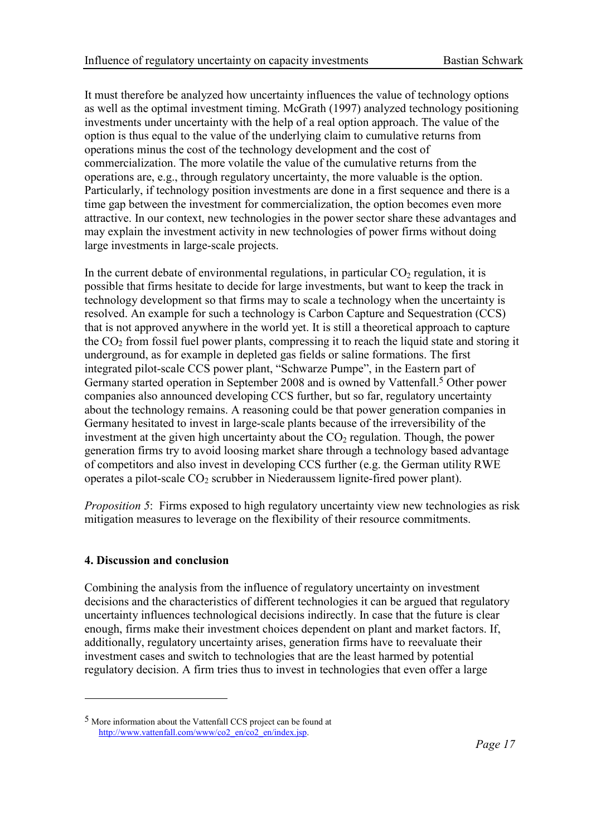It must therefore be analyzed how uncertainty influences the value of technology options as well as the optimal investment timing. McGrath (1997) analyzed technology positioning investments under uncertainty with the help of a real option approach. The value of the option is thus equal to the value of the underlying claim to cumulative returns from operations minus the cost of the technology development and the cost of commercialization. The more volatile the value of the cumulative returns from the operations are, e.g., through regulatory uncertainty, the more valuable is the option. Particularly, if technology position investments are done in a first sequence and there is a time gap between the investment for commercialization, the option becomes even more attractive. In our context, new technologies in the power sector share these advantages and may explain the investment activity in new technologies of power firms without doing large investments in large-scale projects.

In the current debate of environmental regulations, in particular  $CO<sub>2</sub>$  regulation, it is possible that firms hesitate to decide for large investments, but want to keep the track in technology development so that firms may to scale a technology when the uncertainty is resolved. An example for such a technology is Carbon Capture and Sequestration (CCS) that is not approved anywhere in the world yet. It is still a theoretical approach to capture the  $CO<sub>2</sub>$  from fossil fuel power plants, compressing it to reach the liquid state and storing it underground, as for example in depleted gas fields or saline formations. The first integrated pilot-scale CCS power plant, "Schwarze Pumpe", in the Eastern part of Germany started operation in September 2008 and is owned by Vattenfall.<sup>5</sup> Other power companies also announced developing CCS further, but so far, regulatory uncertainty about the technology remains. A reasoning could be that power generation companies in Germany hesitated to invest in large-scale plants because of the irreversibility of the investment at the given high uncertainty about the  $CO<sub>2</sub>$  regulation. Though, the power generation firms try to avoid loosing market share through a technology based advantage of competitors and also invest in developing CCS further (e.g. the German utility RWE operates a pilot-scale  $CO<sub>2</sub>$  scrubber in Niederaussem lignite-fired power plant).

Proposition 5: Firms exposed to high regulatory uncertainty view new technologies as risk mitigation measures to leverage on the flexibility of their resource commitments.

# 4. Discussion and conclusion

 $\overline{a}$ 

Combining the analysis from the influence of regulatory uncertainty on investment decisions and the characteristics of different technologies it can be argued that regulatory uncertainty influences technological decisions indirectly. In case that the future is clear enough, firms make their investment choices dependent on plant and market factors. If, additionally, regulatory uncertainty arises, generation firms have to reevaluate their investment cases and switch to technologies that are the least harmed by potential regulatory decision. A firm tries thus to invest in technologies that even offer a large

<sup>5</sup> More information about the Vattenfall CCS project can be found at http://www.vattenfall.com/www/co2\_en/co2\_en/index.jsp.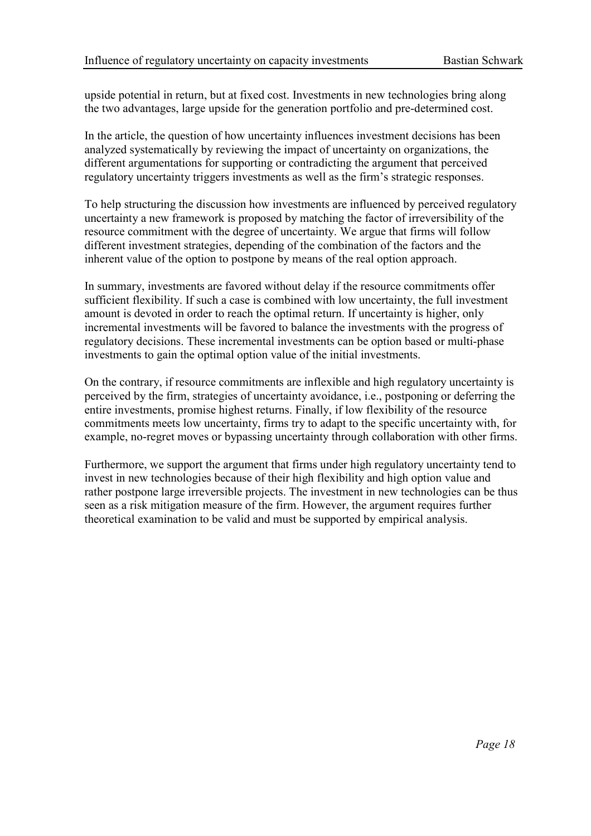upside potential in return, but at fixed cost. Investments in new technologies bring along the two advantages, large upside for the generation portfolio and pre-determined cost.

In the article, the question of how uncertainty influences investment decisions has been analyzed systematically by reviewing the impact of uncertainty on organizations, the different argumentations for supporting or contradicting the argument that perceived regulatory uncertainty triggers investments as well as the firm's strategic responses.

To help structuring the discussion how investments are influenced by perceived regulatory uncertainty a new framework is proposed by matching the factor of irreversibility of the resource commitment with the degree of uncertainty. We argue that firms will follow different investment strategies, depending of the combination of the factors and the inherent value of the option to postpone by means of the real option approach.

In summary, investments are favored without delay if the resource commitments offer sufficient flexibility. If such a case is combined with low uncertainty, the full investment amount is devoted in order to reach the optimal return. If uncertainty is higher, only incremental investments will be favored to balance the investments with the progress of regulatory decisions. These incremental investments can be option based or multi-phase investments to gain the optimal option value of the initial investments.

On the contrary, if resource commitments are inflexible and high regulatory uncertainty is perceived by the firm, strategies of uncertainty avoidance, i.e., postponing or deferring the entire investments, promise highest returns. Finally, if low flexibility of the resource commitments meets low uncertainty, firms try to adapt to the specific uncertainty with, for example, no-regret moves or bypassing uncertainty through collaboration with other firms.

Furthermore, we support the argument that firms under high regulatory uncertainty tend to invest in new technologies because of their high flexibility and high option value and rather postpone large irreversible projects. The investment in new technologies can be thus seen as a risk mitigation measure of the firm. However, the argument requires further theoretical examination to be valid and must be supported by empirical analysis.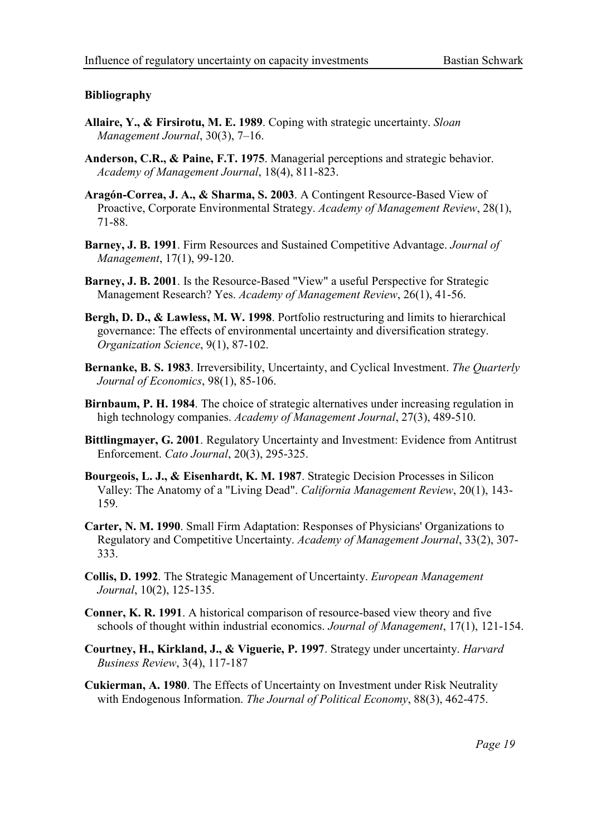#### Bibliography

- **Allaire, Y., & Firsirotu, M. E. 1989**. Coping with strategic uncertainty. *Sloan* Management Journal, 30(3), 7–16.
- Anderson, C.R., & Paine, F.T. 1975. Managerial perceptions and strategic behavior. Academy of Management Journal, 18(4), 811-823.
- Aragón-Correa, J. A., & Sharma, S. 2003. A Contingent Resource-Based View of Proactive, Corporate Environmental Strategy. Academy of Management Review, 28(1), 71-88.
- Barney, J. B. 1991. Firm Resources and Sustained Competitive Advantage. Journal of Management, 17(1), 99-120.
- Barney, J. B. 2001. Is the Resource-Based "View" a useful Perspective for Strategic Management Research? Yes. Academy of Management Review, 26(1), 41-56.
- Bergh, D. D., & Lawless, M. W. 1998. Portfolio restructuring and limits to hierarchical governance: The effects of environmental uncertainty and diversification strategy. Organization Science, 9(1), 87-102.
- Bernanke, B. S. 1983. Irreversibility, Uncertainty, and Cyclical Investment. The Quarterly Journal of Economics, 98(1), 85-106.
- Birnbaum, P. H. 1984. The choice of strategic alternatives under increasing regulation in high technology companies. Academy of Management Journal, 27(3), 489-510.
- Bittlingmayer, G. 2001. Regulatory Uncertainty and Investment: Evidence from Antitrust Enforcement. Cato Journal, 20(3), 295-325.
- Bourgeois, L. J., & Eisenhardt, K. M. 1987. Strategic Decision Processes in Silicon Valley: The Anatomy of a "Living Dead". California Management Review, 20(1), 143- 159.
- Carter, N. M. 1990. Small Firm Adaptation: Responses of Physicians' Organizations to Regulatory and Competitive Uncertainty. Academy of Management Journal, 33(2), 307- 333.
- Collis, D. 1992. The Strategic Management of Uncertainty. European Management Journal, 10(2), 125-135.
- Conner, K. R. 1991. A historical comparison of resource-based view theory and five schools of thought within industrial economics. Journal of Management, 17(1), 121-154.
- Courtney, H., Kirkland, J., & Viguerie, P. 1997. Strategy under uncertainty. Harvard Business Review, 3(4), 117-187
- Cukierman, A. 1980. The Effects of Uncertainty on Investment under Risk Neutrality with Endogenous Information. The Journal of Political Economy, 88(3), 462-475.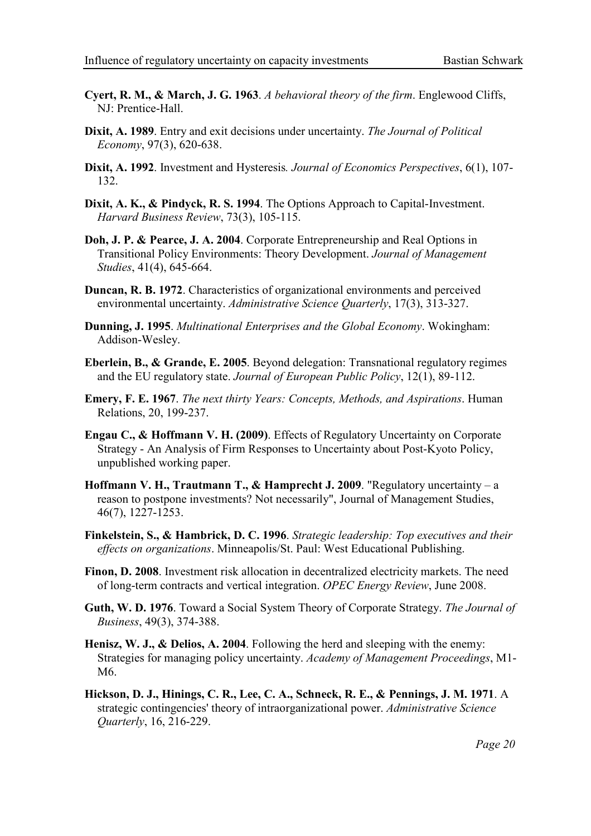- Cyert, R. M., & March, J. G. 1963. A behavioral theory of the firm. Englewood Cliffs, NJ: Prentice-Hall.
- Dixit, A. 1989. Entry and exit decisions under uncertainty. The Journal of Political Economy, 97(3), 620-638.
- Dixit, A. 1992. Investment and Hysteresis. Journal of Economics Perspectives, 6(1), 107-132.
- Dixit, A. K., & Pindyck, R. S. 1994. The Options Approach to Capital-Investment. Harvard Business Review, 73(3), 105-115.
- Doh, J. P. & Pearce, J. A. 2004. Corporate Entrepreneurship and Real Options in Transitional Policy Environments: Theory Development. Journal of Management Studies, 41(4), 645-664.
- Duncan, R. B. 1972. Characteristics of organizational environments and perceived environmental uncertainty. Administrative Science Quarterly, 17(3), 313-327.
- Dunning, J. 1995. Multinational Enterprises and the Global Economy. Wokingham: Addison-Wesley.
- Eberlein, B., & Grande, E. 2005. Beyond delegation: Transnational regulatory regimes and the EU regulatory state. Journal of European Public Policy, 12(1), 89-112.
- Emery, F. E. 1967. The next thirty Years: Concepts, Methods, and Aspirations. Human Relations, 20, 199-237.
- Engau C., & Hoffmann V. H. (2009). Effects of Regulatory Uncertainty on Corporate Strategy - An Analysis of Firm Responses to Uncertainty about Post-Kyoto Policy, unpublished working paper.
- Hoffmann V. H., Trautmann T., & Hamprecht J. 2009. "Regulatory uncertainty a reason to postpone investments? Not necessarily", Journal of Management Studies, 46(7), 1227-1253.
- Finkelstein, S., & Hambrick, D. C. 1996. Strategic leadership: Top executives and their effects on organizations. Minneapolis/St. Paul: West Educational Publishing.
- Finon, D. 2008. Investment risk allocation in decentralized electricity markets. The need of long-term contracts and vertical integration. OPEC Energy Review, June 2008.
- Guth, W. D. 1976. Toward a Social System Theory of Corporate Strategy. The Journal of Business, 49(3), 374-388.
- Henisz, W. J., & Delios, A. 2004. Following the herd and sleeping with the enemy: Strategies for managing policy uncertainty. Academy of Management Proceedings, M1- M6.
- Hickson, D. J., Hinings, C. R., Lee, C. A., Schneck, R. E., & Pennings, J. M. 1971. A strategic contingencies' theory of intraorganizational power. Administrative Science Quarterly, 16, 216-229.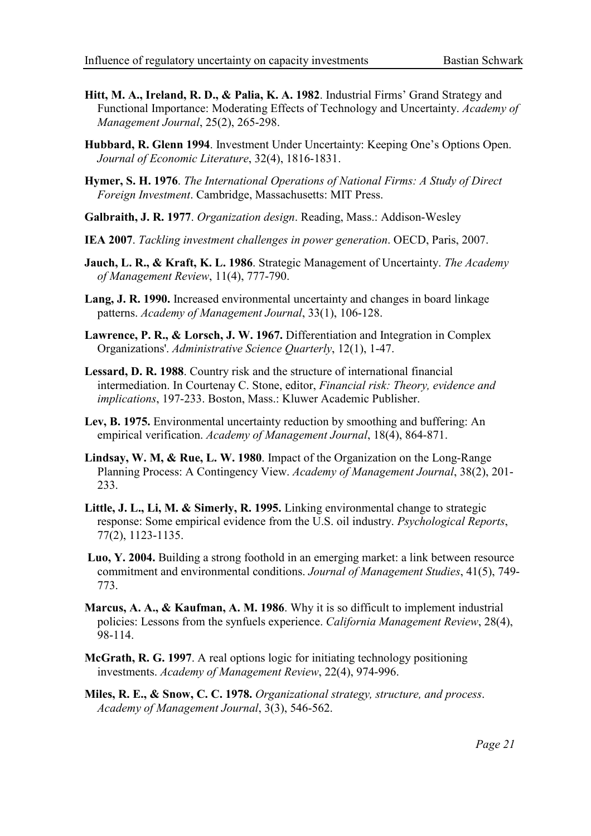- Hitt, M. A., Ireland, R. D., & Palia, K. A. 1982. Industrial Firms' Grand Strategy and Functional Importance: Moderating Effects of Technology and Uncertainty. Academy of Management Journal, 25(2), 265-298.
- Hubbard, R. Glenn 1994. Investment Under Uncertainty: Keeping One's Options Open. Journal of Economic Literature, 32(4), 1816-1831.
- Hymer, S. H. 1976. The International Operations of National Firms: A Study of Direct Foreign Investment. Cambridge, Massachusetts: MIT Press.
- Galbraith, J. R. 1977. Organization design. Reading, Mass.: Addison-Wesley
- IEA 2007. Tackling investment challenges in power generation. OECD, Paris, 2007.
- Jauch, L. R., & Kraft, K. L. 1986. Strategic Management of Uncertainty. The Academy of Management Review, 11(4), 777-790.
- Lang, J. R. 1990. Increased environmental uncertainty and changes in board linkage patterns. Academy of Management Journal, 33(1), 106-128.
- Lawrence, P. R., & Lorsch, J. W. 1967. Differentiation and Integration in Complex Organizations'. Administrative Science Quarterly, 12(1), 1-47.
- Lessard, D. R. 1988. Country risk and the structure of international financial intermediation. In Courtenay C. Stone, editor, Financial risk: Theory, evidence and implications, 197-233. Boston, Mass.: Kluwer Academic Publisher.
- Lev, B. 1975. Environmental uncertainty reduction by smoothing and buffering: An empirical verification. Academy of Management Journal, 18(4), 864-871.
- Lindsay, W. M, & Rue, L. W. 1980. Impact of the Organization on the Long-Range Planning Process: A Contingency View. Academy of Management Journal, 38(2), 201- 233.
- Little, J. L., Li, M. & Simerly, R. 1995. Linking environmental change to strategic response: Some empirical evidence from the U.S. oil industry. Psychological Reports, 77(2), 1123-1135.
- Luo, Y. 2004. Building a strong foothold in an emerging market: a link between resource commitment and environmental conditions. Journal of Management Studies, 41(5), 749- 773.
- Marcus, A. A., & Kaufman, A. M. 1986. Why it is so difficult to implement industrial policies: Lessons from the synfuels experience. California Management Review, 28(4), 98-114.
- McGrath, R. G. 1997. A real options logic for initiating technology positioning investments. Academy of Management Review, 22(4), 974-996.
- Miles, R. E., & Snow, C. C. 1978. Organizational strategy, structure, and process. Academy of Management Journal, 3(3), 546-562.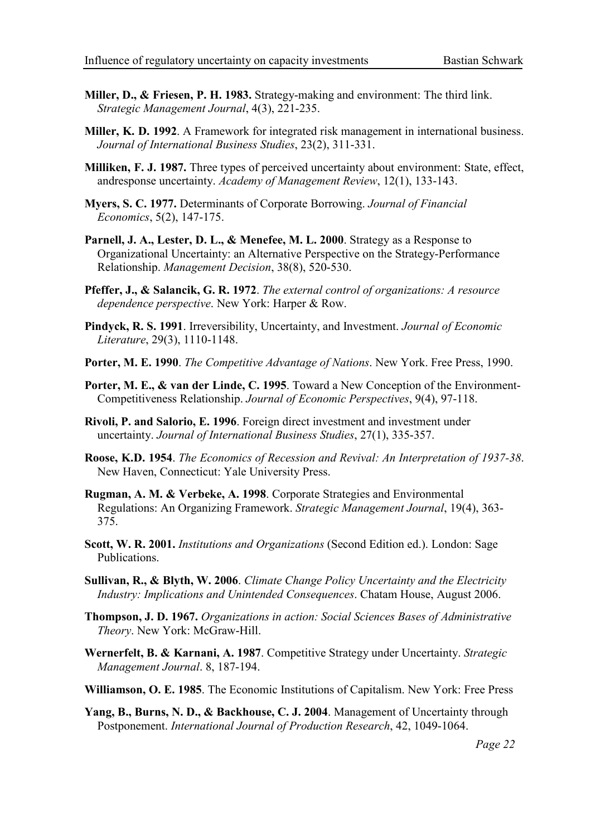- Miller, D., & Friesen, P. H. 1983. Strategy-making and environment: The third link. Strategic Management Journal, 4(3), 221-235.
- Miller, K. D. 1992. A Framework for integrated risk management in international business. Journal of International Business Studies, 23(2), 311-331.
- Milliken, F. J. 1987. Three types of perceived uncertainty about environment: State, effect, andresponse uncertainty. Academy of Management Review, 12(1), 133-143.
- Myers, S. C. 1977. Determinants of Corporate Borrowing. Journal of Financial Economics, 5(2), 147-175.
- Parnell, J. A., Lester, D. L., & Menefee, M. L. 2000. Strategy as a Response to Organizational Uncertainty: an Alternative Perspective on the Strategy-Performance Relationship. Management Decision, 38(8), 520-530.
- Pfeffer, J., & Salancik, G. R. 1972. The external control of organizations: A resource dependence perspective. New York: Harper & Row.
- Pindyck, R. S. 1991. Irreversibility, Uncertainty, and Investment. Journal of Economic Literature, 29(3), 1110-1148.
- Porter, M. E. 1990. The Competitive Advantage of Nations. New York. Free Press, 1990.
- Porter, M. E., & van der Linde, C. 1995. Toward a New Conception of the Environment-Competitiveness Relationship. Journal of Economic Perspectives, 9(4), 97-118.
- Rivoli, P. and Salorio, E. 1996. Foreign direct investment and investment under uncertainty. Journal of International Business Studies, 27(1), 335-357.
- Roose, K.D. 1954. The Economics of Recession and Revival: An Interpretation of 1937-38. New Haven, Connecticut: Yale University Press.
- Rugman, A. M. & Verbeke, A. 1998. Corporate Strategies and Environmental Regulations: An Organizing Framework. Strategic Management Journal, 19(4), 363- 375.
- Scott, W. R. 2001. Institutions and Organizations (Second Edition ed.). London: Sage Publications.
- Sullivan, R., & Blyth, W. 2006. Climate Change Policy Uncertainty and the Electricity Industry: Implications and Unintended Consequences. Chatam House, August 2006.
- Thompson, J. D. 1967. Organizations in action: Social Sciences Bases of Administrative Theory. New York: McGraw-Hill.
- Wernerfelt, B. & Karnani, A. 1987. Competitive Strategy under Uncertainty. Strategic Management Journal. 8, 187-194.
- Williamson, O. E. 1985. The Economic Institutions of Capitalism. New York: Free Press
- Yang, B., Burns, N. D., & Backhouse, C. J. 2004. Management of Uncertainty through Postponement. International Journal of Production Research, 42, 1049-1064.